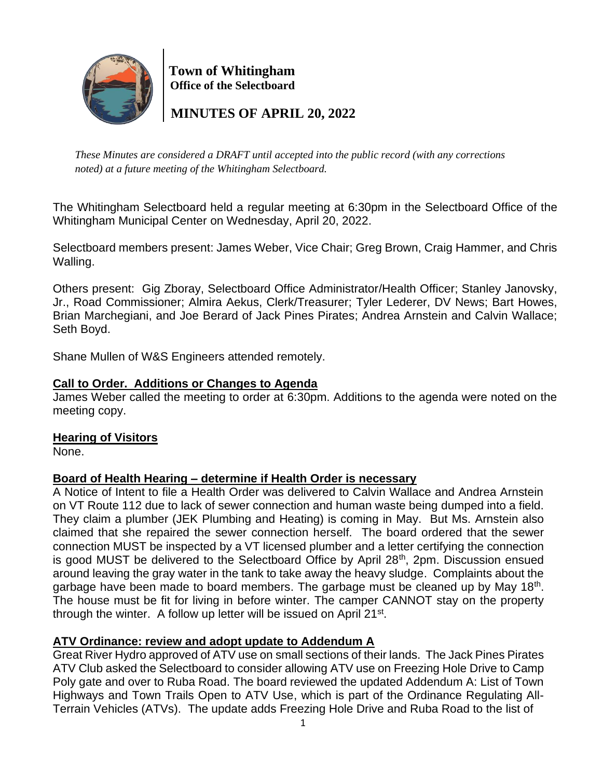

 **Town of Whitingham Office of the Selectboard**

 **MINUTES OF APRIL 20, 2022**

*These Minutes are considered a DRAFT until accepted into the public record (with any corrections noted) at a future meeting of the Whitingham Selectboard.*

The Whitingham Selectboard held a regular meeting at 6:30pm in the Selectboard Office of the Whitingham Municipal Center on Wednesday, April 20, 2022.

Selectboard members present: James Weber, Vice Chair; Greg Brown, Craig Hammer, and Chris Walling.

Others present: Gig Zboray, Selectboard Office Administrator/Health Officer; Stanley Janovsky, Jr., Road Commissioner; Almira Aekus, Clerk/Treasurer; Tyler Lederer, DV News; Bart Howes, Brian Marchegiani, and Joe Berard of Jack Pines Pirates; Andrea Arnstein and Calvin Wallace; Seth Boyd.

Shane Mullen of W&S Engineers attended remotely.

### **Call to Order. Additions or Changes to Agenda**

James Weber called the meeting to order at 6:30pm. Additions to the agenda were noted on the meeting copy.

#### **Hearing of Visitors**

None.

# **Board of Health Hearing – determine if Health Order is necessary**

A Notice of Intent to file a Health Order was delivered to Calvin Wallace and Andrea Arnstein on VT Route 112 due to lack of sewer connection and human waste being dumped into a field. They claim a plumber (JEK Plumbing and Heating) is coming in May. But Ms. Arnstein also claimed that she repaired the sewer connection herself. The board ordered that the sewer connection MUST be inspected by a VT licensed plumber and a letter certifying the connection is good MUST be delivered to the Selectboard Office by April  $28<sup>th</sup>$ , 2pm. Discussion ensued around leaving the gray water in the tank to take away the heavy sludge. Complaints about the garbage have been made to board members. The garbage must be cleaned up by May 18<sup>th</sup>. The house must be fit for living in before winter. The camper CANNOT stay on the property through the winter. A follow up letter will be issued on April 21<sup>st</sup>.

# **ATV Ordinance: review and adopt update to Addendum A**

Great River Hydro approved of ATV use on small sections of their lands. The Jack Pines Pirates ATV Club asked the Selectboard to consider allowing ATV use on Freezing Hole Drive to Camp Poly gate and over to Ruba Road. The board reviewed the updated Addendum A: List of Town Highways and Town Trails Open to ATV Use, which is part of the Ordinance Regulating All-Terrain Vehicles (ATVs). The update adds Freezing Hole Drive and Ruba Road to the list of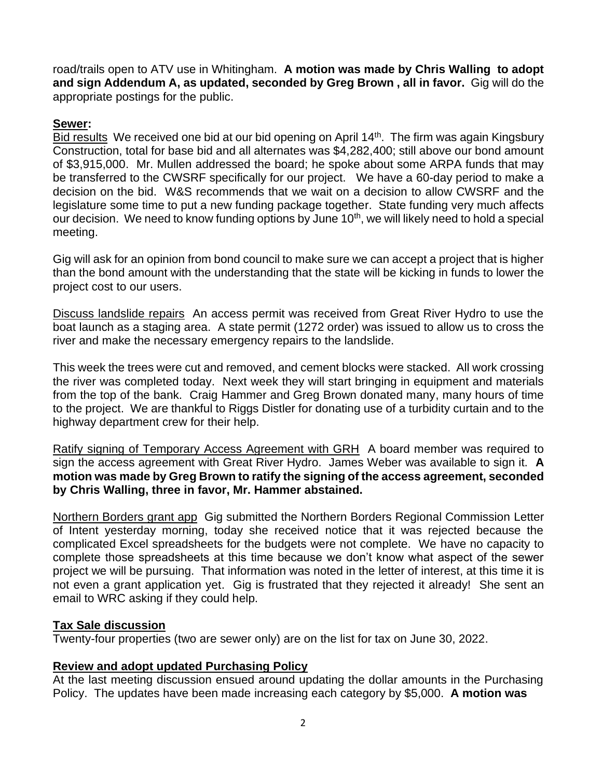road/trails open to ATV use in Whitingham. **A motion was made by Chris Walling to adopt and sign Addendum A, as updated, seconded by Greg Brown , all in favor.** Gig will do the appropriate postings for the public.

#### **Sewer:**

Bid results We received one bid at our bid opening on April  $14<sup>th</sup>$ . The firm was again Kingsbury Construction, total for base bid and all alternates was \$4,282,400; still above our bond amount of \$3,915,000. Mr. Mullen addressed the board; he spoke about some ARPA funds that may be transferred to the CWSRF specifically for our project. We have a 60-day period to make a decision on the bid. W&S recommends that we wait on a decision to allow CWSRF and the legislature some time to put a new funding package together. State funding very much affects our decision. We need to know funding options by June 10<sup>th</sup>, we will likely need to hold a special meeting.

Gig will ask for an opinion from bond council to make sure we can accept a project that is higher than the bond amount with the understanding that the state will be kicking in funds to lower the project cost to our users.

Discuss landslide repairs An access permit was received from Great River Hydro to use the boat launch as a staging area. A state permit (1272 order) was issued to allow us to cross the river and make the necessary emergency repairs to the landslide.

This week the trees were cut and removed, and cement blocks were stacked. All work crossing the river was completed today. Next week they will start bringing in equipment and materials from the top of the bank. Craig Hammer and Greg Brown donated many, many hours of time to the project. We are thankful to Riggs Distler for donating use of a turbidity curtain and to the highway department crew for their help.

Ratify signing of Temporary Access Agreement with GRH A board member was required to sign the access agreement with Great River Hydro. James Weber was available to sign it. **A motion was made by Greg Brown to ratify the signing of the access agreement, seconded by Chris Walling, three in favor, Mr. Hammer abstained.**

Northern Borders grant app Gig submitted the Northern Borders Regional Commission Letter of Intent yesterday morning, today she received notice that it was rejected because the complicated Excel spreadsheets for the budgets were not complete. We have no capacity to complete those spreadsheets at this time because we don't know what aspect of the sewer project we will be pursuing. That information was noted in the letter of interest, at this time it is not even a grant application yet. Gig is frustrated that they rejected it already! She sent an email to WRC asking if they could help.

#### **Tax Sale discussion**

Twenty-four properties (two are sewer only) are on the list for tax on June 30, 2022.

# **Review and adopt updated Purchasing Policy**

At the last meeting discussion ensued around updating the dollar amounts in the Purchasing Policy. The updates have been made increasing each category by \$5,000. **A motion was**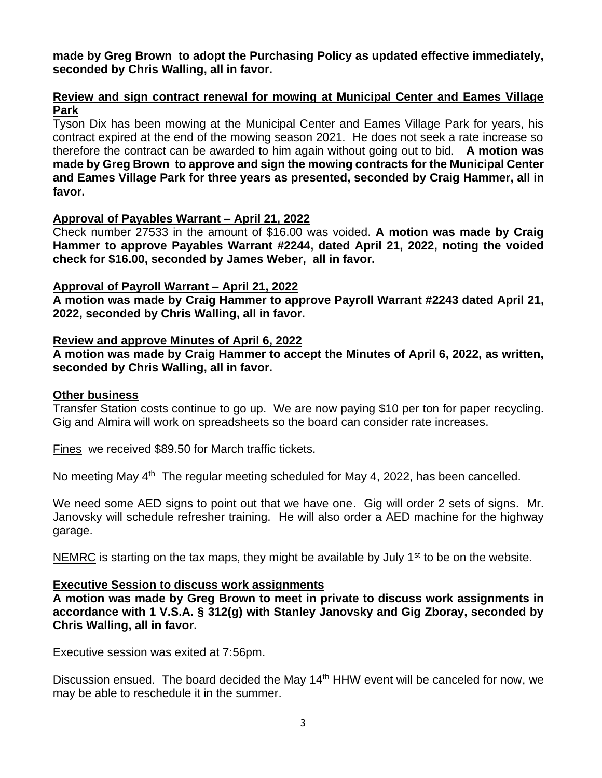#### **made by Greg Brown to adopt the Purchasing Policy as updated effective immediately, seconded by Chris Walling, all in favor.**

#### **Review and sign contract renewal for mowing at Municipal Center and Eames Village Park**

Tyson Dix has been mowing at the Municipal Center and Eames Village Park for years, his contract expired at the end of the mowing season 2021. He does not seek a rate increase so therefore the contract can be awarded to him again without going out to bid. **A motion was made by Greg Brown to approve and sign the mowing contracts for the Municipal Center and Eames Village Park for three years as presented, seconded by Craig Hammer, all in favor.**

#### **Approval of Payables Warrant – April 21, 2022**

Check number 27533 in the amount of \$16.00 was voided. **A motion was made by Craig Hammer to approve Payables Warrant #2244, dated April 21, 2022, noting the voided check for \$16.00, seconded by James Weber, all in favor.**

#### **Approval of Payroll Warrant – April 21, 2022**

**A motion was made by Craig Hammer to approve Payroll Warrant #2243 dated April 21, 2022, seconded by Chris Walling, all in favor.**

#### **Review and approve Minutes of April 6, 2022**

**A motion was made by Craig Hammer to accept the Minutes of April 6, 2022, as written, seconded by Chris Walling, all in favor.**

#### **Other business**

Transfer Station costs continue to go up. We are now paying \$10 per ton for paper recycling. Gig and Almira will work on spreadsheets so the board can consider rate increases.

Fines we received \$89.50 for March traffic tickets.

No meeting May 4<sup>th</sup> The regular meeting scheduled for May 4, 2022, has been cancelled.

We need some AED signs to point out that we have one. Gig will order 2 sets of signs. Mr. Janovsky will schedule refresher training. He will also order a AED machine for the highway garage.

NEMRC is starting on the tax maps, they might be available by July  $1<sup>st</sup>$  to be on the website.

#### **Executive Session to discuss work assignments**

**A motion was made by Greg Brown to meet in private to discuss work assignments in accordance with 1 V.S.A. § 312(g) with Stanley Janovsky and Gig Zboray, seconded by Chris Walling, all in favor.**

Executive session was exited at 7:56pm.

Discussion ensued. The board decided the May 14<sup>th</sup> HHW event will be canceled for now, we may be able to reschedule it in the summer.